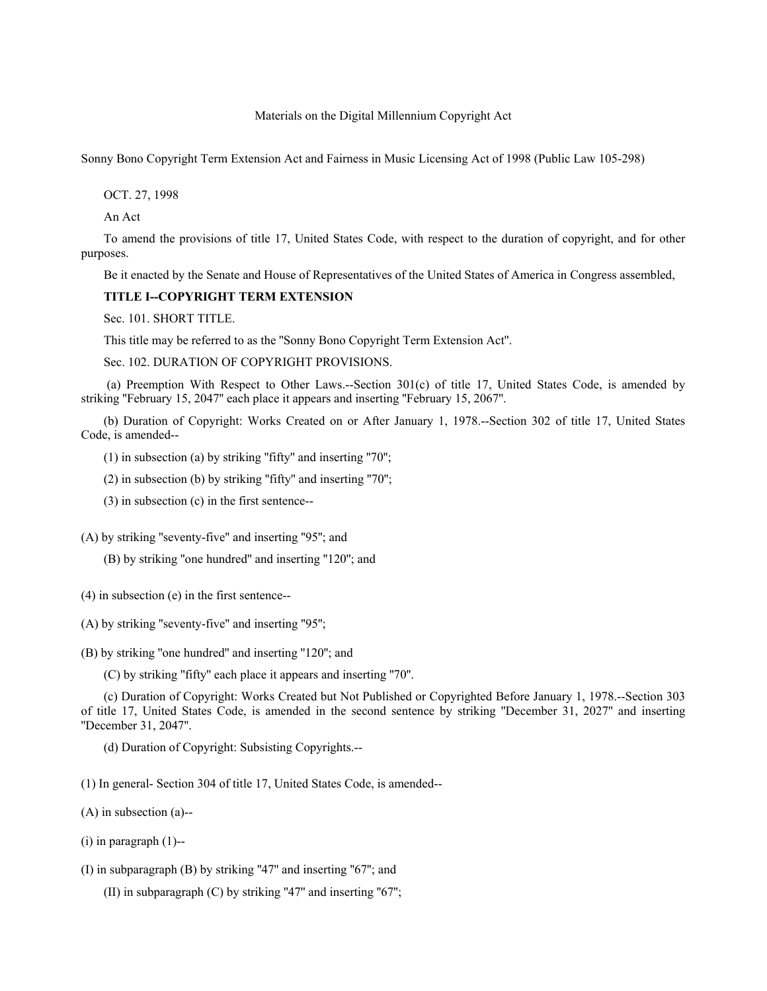Materials on the Digital Millennium Copyright Act

Sonny Bono Copyright Term Extension Act and Fairness in Music Licensing Act of 1998 (Public Law 105-298)

OCT. 27, 1998

An Act

To amend the provisions of title 17, United States Code, with respect to the duration of copyright, and for other purposes.

Be it enacted by the Senate and House of Representatives of the United States of America in Congress assembled,

### **TITLE I--COPYRIGHT TERM EXTENSION**

Sec. 101. SHORT TITLE.

This title may be referred to as the ''Sonny Bono Copyright Term Extension Act''.

Sec. 102. DURATION OF COPYRIGHT PROVISIONS.

 (a) Preemption With Respect to Other Laws.--Section 301(c) of title 17, United States Code, is amended by striking ''February 15, 2047'' each place it appears and inserting ''February 15, 2067''.

(b) Duration of Copyright: Works Created on or After January 1, 1978.--Section 302 of title 17, United States Code, is amended--

(1) in subsection (a) by striking "fifty" and inserting "70";

(2) in subsection (b) by striking ''fifty'' and inserting ''70'';

(3) in subsection (c) in the first sentence--

(A) by striking "seventy-five" and inserting "95"; and

(B) by striking ''one hundred'' and inserting ''120''; and

(4) in subsection (e) in the first sentence--

(A) by striking ''seventy-five'' and inserting ''95'';

(B) by striking ''one hundred'' and inserting ''120''; and

(C) by striking ''fifty'' each place it appears and inserting ''70''.

(c) Duration of Copyright: Works Created but Not Published or Copyrighted Before January 1, 1978.--Section 303 of title 17, United States Code, is amended in the second sentence by striking ''December 31, 2027'' and inserting ''December 31, 2047''.

(d) Duration of Copyright: Subsisting Copyrights.--

(1) In general- Section 304 of title 17, United States Code, is amended--

(A) in subsection (a)--

(i) in paragraph (1)--

(I) in subparagraph (B) by striking ''47'' and inserting ''67''; and

(II) in subparagraph  $(C)$  by striking "47" and inserting "67";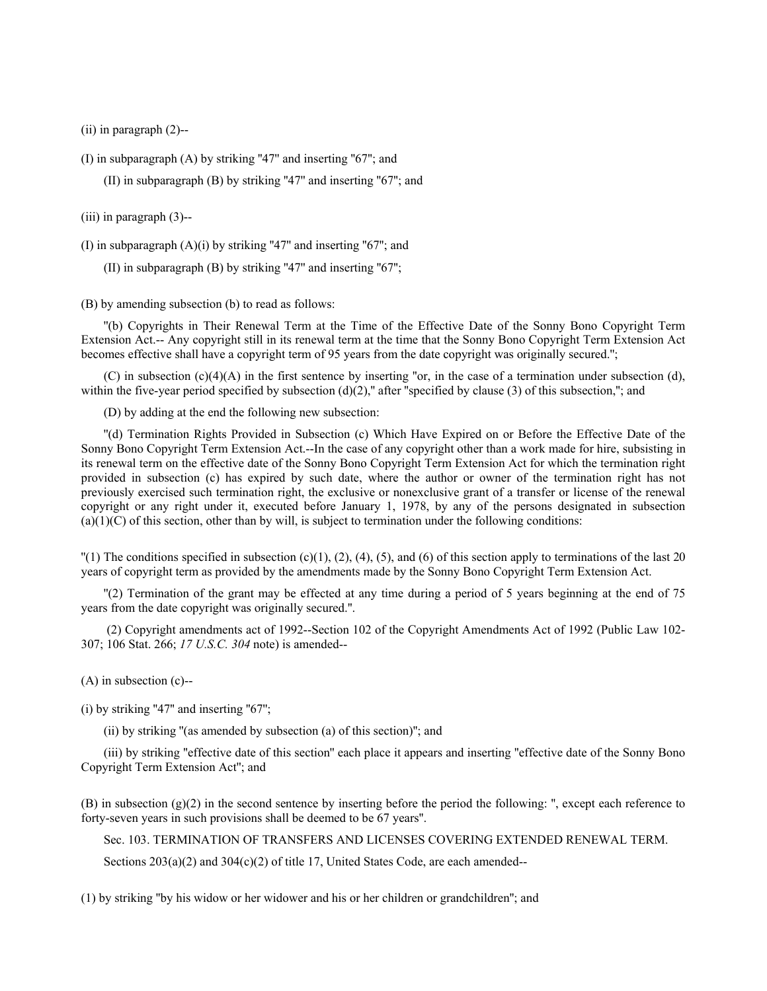(ii) in paragraph (2)--

(I) in subparagraph (A) by striking ''47'' and inserting ''67''; and

(II) in subparagraph  $(B)$  by striking "47" and inserting "67"; and

(iii) in paragraph (3)--

(I) in subparagraph  $(A)(i)$  by striking "47" and inserting "67"; and

(II) in subparagraph  $(B)$  by striking "47" and inserting "67";

(B) by amending subsection (b) to read as follows:

''(b) Copyrights in Their Renewal Term at the Time of the Effective Date of the Sonny Bono Copyright Term Extension Act.-- Any copyright still in its renewal term at the time that the Sonny Bono Copyright Term Extension Act becomes effective shall have a copyright term of 95 years from the date copyright was originally secured.'';

(C) in subsection  $(c)(4)(A)$  in the first sentence by inserting "or, in the case of a termination under subsection (d), within the five-year period specified by subsection  $(d)(2)$ ," after "specified by clause (3) of this subsection,"; and

(D) by adding at the end the following new subsection:

''(d) Termination Rights Provided in Subsection (c) Which Have Expired on or Before the Effective Date of the Sonny Bono Copyright Term Extension Act.--In the case of any copyright other than a work made for hire, subsisting in its renewal term on the effective date of the Sonny Bono Copyright Term Extension Act for which the termination right provided in subsection (c) has expired by such date, where the author or owner of the termination right has not previously exercised such termination right, the exclusive or nonexclusive grant of a transfer or license of the renewal copyright or any right under it, executed before January 1, 1978, by any of the persons designated in subsection  $(a)(1)(C)$  of this section, other than by will, is subject to termination under the following conditions:

 $\Gamma(1)$  The conditions specified in subsection (c)(1), (2), (4), (5), and (6) of this section apply to terminations of the last 20 years of copyright term as provided by the amendments made by the Sonny Bono Copyright Term Extension Act.

''(2) Termination of the grant may be effected at any time during a period of 5 years beginning at the end of 75 years from the date copyright was originally secured.''.

 (2) Copyright amendments act of 1992--Section 102 of the Copyright Amendments Act of 1992 (Public Law 102- 307; 106 Stat. 266; *17 U.S.C. 304* note) is amended--

(A) in subsection (c)--

 $(i)$  by striking "47" and inserting "67";

(ii) by striking ''(as amended by subsection (a) of this section)''; and

(iii) by striking ''effective date of this section'' each place it appears and inserting ''effective date of the Sonny Bono Copyright Term Extension Act''; and

(B) in subsection (g)(2) in the second sentence by inserting before the period the following: '', except each reference to forty-seven years in such provisions shall be deemed to be 67 years''.

Sec. 103. TERMINATION OF TRANSFERS AND LICENSES COVERING EXTENDED RENEWAL TERM.

Sections  $203(a)(2)$  and  $304(c)(2)$  of title 17, United States Code, are each amended--

(1) by striking ''by his widow or her widower and his or her children or grandchildren''; and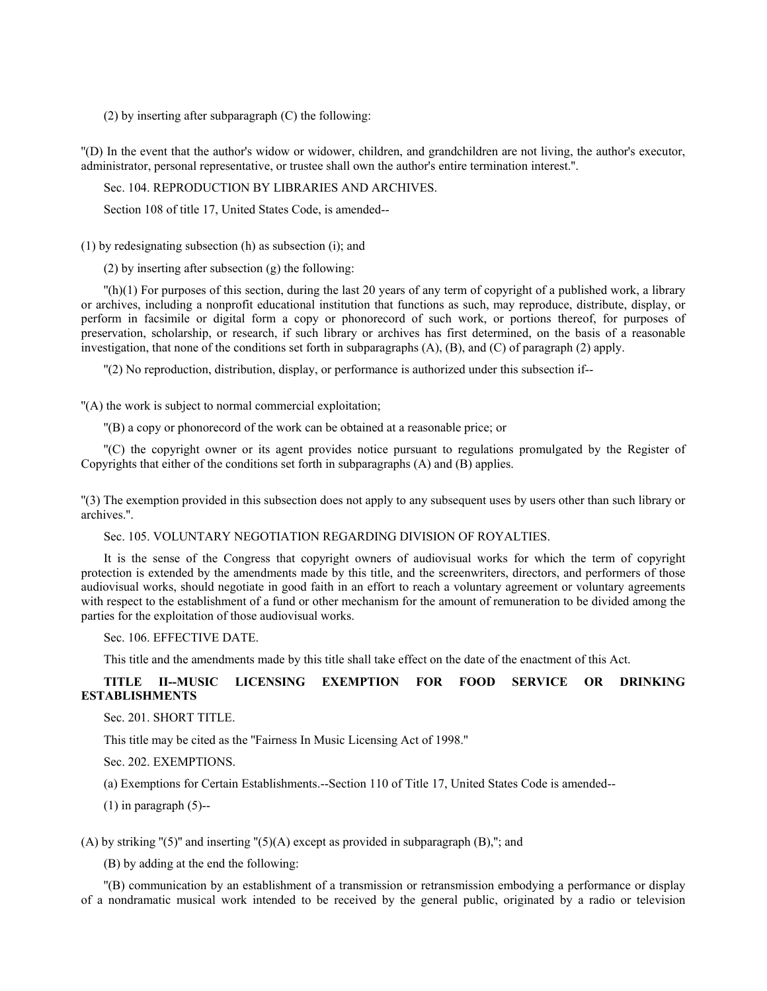(2) by inserting after subparagraph (C) the following:

''(D) In the event that the author's widow or widower, children, and grandchildren are not living, the author's executor, administrator, personal representative, or trustee shall own the author's entire termination interest.''.

Sec. 104. REPRODUCTION BY LIBRARIES AND ARCHIVES.

Section 108 of title 17, United States Code, is amended--

(1) by redesignating subsection (h) as subsection (i); and

(2) by inserting after subsection (g) the following:

 $\binom{n}{1}$  For purposes of this section, during the last 20 years of any term of copyright of a published work, a library or archives, including a nonprofit educational institution that functions as such, may reproduce, distribute, display, or perform in facsimile or digital form a copy or phonorecord of such work, or portions thereof, for purposes of preservation, scholarship, or research, if such library or archives has first determined, on the basis of a reasonable investigation, that none of the conditions set forth in subparagraphs (A), (B), and (C) of paragraph (2) apply.

''(2) No reproduction, distribution, display, or performance is authorized under this subsection if--

''(A) the work is subject to normal commercial exploitation;

''(B) a copy or phonorecord of the work can be obtained at a reasonable price; or

''(C) the copyright owner or its agent provides notice pursuant to regulations promulgated by the Register of Copyrights that either of the conditions set forth in subparagraphs (A) and (B) applies.

''(3) The exemption provided in this subsection does not apply to any subsequent uses by users other than such library or archives.''.

Sec. 105. VOLUNTARY NEGOTIATION REGARDING DIVISION OF ROYALTIES.

It is the sense of the Congress that copyright owners of audiovisual works for which the term of copyright protection is extended by the amendments made by this title, and the screenwriters, directors, and performers of those audiovisual works, should negotiate in good faith in an effort to reach a voluntary agreement or voluntary agreements with respect to the establishment of a fund or other mechanism for the amount of remuneration to be divided among the parties for the exploitation of those audiovisual works.

Sec. 106. EFFECTIVE DATE.

This title and the amendments made by this title shall take effect on the date of the enactment of this Act.

# **TITLE II--MUSIC LICENSING EXEMPTION FOR FOOD SERVICE OR DRINKING ESTABLISHMENTS**

Sec. 201. SHORT TITLE.

This title may be cited as the ''Fairness In Music Licensing Act of 1998.''

Sec. 202. EXEMPTIONS.

(a) Exemptions for Certain Establishments.--Section 110 of Title 17, United States Code is amended--

 $(1)$  in paragraph  $(5)$ --

(A) by striking "(5)" and inserting "(5)(A) except as provided in subparagraph (B),"; and

(B) by adding at the end the following:

''(B) communication by an establishment of a transmission or retransmission embodying a performance or display of a nondramatic musical work intended to be received by the general public, originated by a radio or television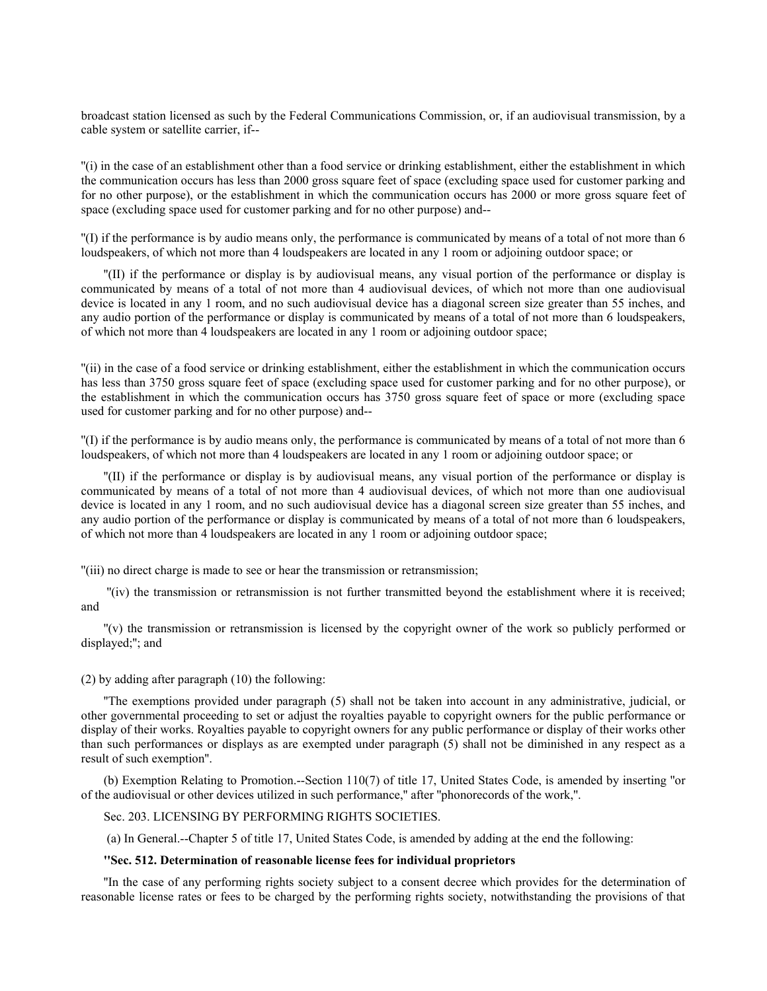broadcast station licensed as such by the Federal Communications Commission, or, if an audiovisual transmission, by a cable system or satellite carrier, if--

''(i) in the case of an establishment other than a food service or drinking establishment, either the establishment in which the communication occurs has less than 2000 gross square feet of space (excluding space used for customer parking and for no other purpose), or the establishment in which the communication occurs has 2000 or more gross square feet of space (excluding space used for customer parking and for no other purpose) and--

''(I) if the performance is by audio means only, the performance is communicated by means of a total of not more than 6 loudspeakers, of which not more than 4 loudspeakers are located in any 1 room or adjoining outdoor space; or

''(II) if the performance or display is by audiovisual means, any visual portion of the performance or display is communicated by means of a total of not more than 4 audiovisual devices, of which not more than one audiovisual device is located in any 1 room, and no such audiovisual device has a diagonal screen size greater than 55 inches, and any audio portion of the performance or display is communicated by means of a total of not more than 6 loudspeakers, of which not more than 4 loudspeakers are located in any 1 room or adjoining outdoor space;

''(ii) in the case of a food service or drinking establishment, either the establishment in which the communication occurs has less than 3750 gross square feet of space (excluding space used for customer parking and for no other purpose), or the establishment in which the communication occurs has 3750 gross square feet of space or more (excluding space used for customer parking and for no other purpose) and--

''(I) if the performance is by audio means only, the performance is communicated by means of a total of not more than 6 loudspeakers, of which not more than 4 loudspeakers are located in any 1 room or adjoining outdoor space; or

''(II) if the performance or display is by audiovisual means, any visual portion of the performance or display is communicated by means of a total of not more than 4 audiovisual devices, of which not more than one audiovisual device is located in any 1 room, and no such audiovisual device has a diagonal screen size greater than 55 inches, and any audio portion of the performance or display is communicated by means of a total of not more than 6 loudspeakers, of which not more than 4 loudspeakers are located in any 1 room or adjoining outdoor space;

''(iii) no direct charge is made to see or hear the transmission or retransmission;

 ''(iv) the transmission or retransmission is not further transmitted beyond the establishment where it is received; and

''(v) the transmission or retransmission is licensed by the copyright owner of the work so publicly performed or displayed;''; and

#### (2) by adding after paragraph (10) the following:

''The exemptions provided under paragraph (5) shall not be taken into account in any administrative, judicial, or other governmental proceeding to set or adjust the royalties payable to copyright owners for the public performance or display of their works. Royalties payable to copyright owners for any public performance or display of their works other than such performances or displays as are exempted under paragraph (5) shall not be diminished in any respect as a result of such exemption''.

(b) Exemption Relating to Promotion.--Section 110(7) of title 17, United States Code, is amended by inserting ''or of the audiovisual or other devices utilized in such performance,'' after ''phonorecords of the work,''.

# Sec. 203. LICENSING BY PERFORMING RIGHTS SOCIETIES.

(a) In General.--Chapter 5 of title 17, United States Code, is amended by adding at the end the following:

### **''Sec. 512. Determination of reasonable license fees for individual proprietors**

''In the case of any performing rights society subject to a consent decree which provides for the determination of reasonable license rates or fees to be charged by the performing rights society, notwithstanding the provisions of that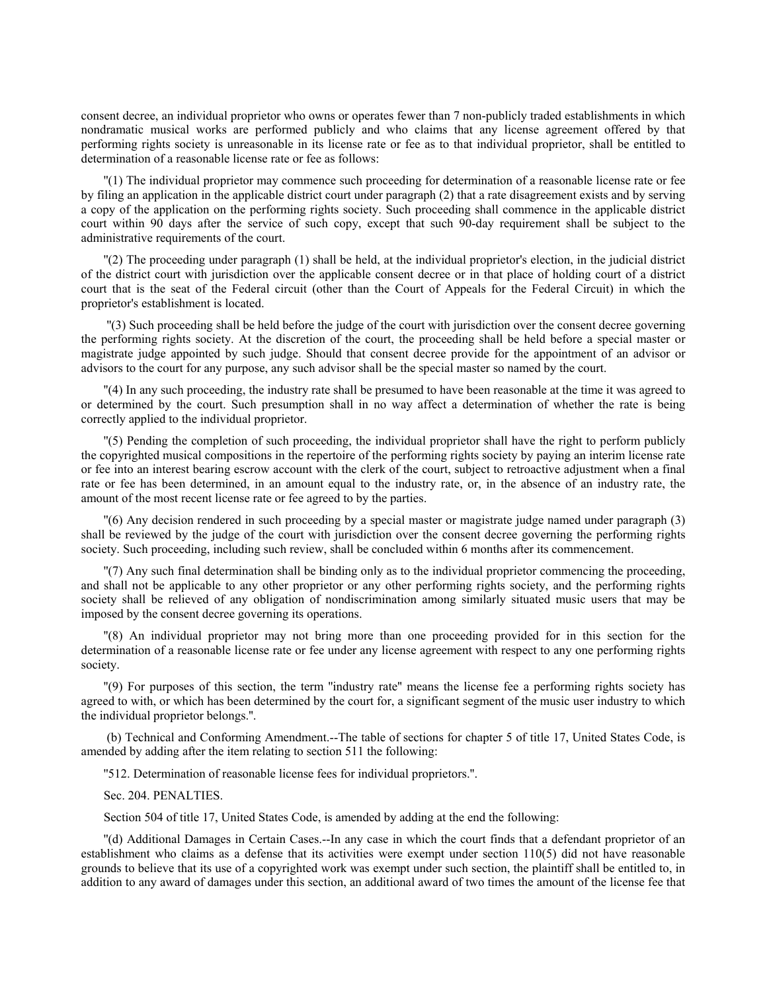consent decree, an individual proprietor who owns or operates fewer than 7 non-publicly traded establishments in which nondramatic musical works are performed publicly and who claims that any license agreement offered by that performing rights society is unreasonable in its license rate or fee as to that individual proprietor, shall be entitled to determination of a reasonable license rate or fee as follows:

''(1) The individual proprietor may commence such proceeding for determination of a reasonable license rate or fee by filing an application in the applicable district court under paragraph (2) that a rate disagreement exists and by serving a copy of the application on the performing rights society. Such proceeding shall commence in the applicable district court within 90 days after the service of such copy, except that such 90-day requirement shall be subject to the administrative requirements of the court.

''(2) The proceeding under paragraph (1) shall be held, at the individual proprietor's election, in the judicial district of the district court with jurisdiction over the applicable consent decree or in that place of holding court of a district court that is the seat of the Federal circuit (other than the Court of Appeals for the Federal Circuit) in which the proprietor's establishment is located.

 ''(3) Such proceeding shall be held before the judge of the court with jurisdiction over the consent decree governing the performing rights society. At the discretion of the court, the proceeding shall be held before a special master or magistrate judge appointed by such judge. Should that consent decree provide for the appointment of an advisor or advisors to the court for any purpose, any such advisor shall be the special master so named by the court.

''(4) In any such proceeding, the industry rate shall be presumed to have been reasonable at the time it was agreed to or determined by the court. Such presumption shall in no way affect a determination of whether the rate is being correctly applied to the individual proprietor.

''(5) Pending the completion of such proceeding, the individual proprietor shall have the right to perform publicly the copyrighted musical compositions in the repertoire of the performing rights society by paying an interim license rate or fee into an interest bearing escrow account with the clerk of the court, subject to retroactive adjustment when a final rate or fee has been determined, in an amount equal to the industry rate, or, in the absence of an industry rate, the amount of the most recent license rate or fee agreed to by the parties.

''(6) Any decision rendered in such proceeding by a special master or magistrate judge named under paragraph (3) shall be reviewed by the judge of the court with jurisdiction over the consent decree governing the performing rights society. Such proceeding, including such review, shall be concluded within 6 months after its commencement.

''(7) Any such final determination shall be binding only as to the individual proprietor commencing the proceeding, and shall not be applicable to any other proprietor or any other performing rights society, and the performing rights society shall be relieved of any obligation of nondiscrimination among similarly situated music users that may be imposed by the consent decree governing its operations.

''(8) An individual proprietor may not bring more than one proceeding provided for in this section for the determination of a reasonable license rate or fee under any license agreement with respect to any one performing rights society.

''(9) For purposes of this section, the term ''industry rate'' means the license fee a performing rights society has agreed to with, or which has been determined by the court for, a significant segment of the music user industry to which the individual proprietor belongs.''.

 (b) Technical and Conforming Amendment.--The table of sections for chapter 5 of title 17, United States Code, is amended by adding after the item relating to section 511 the following:

''512. Determination of reasonable license fees for individual proprietors.''.

#### Sec. 204. PENALTIES.

Section 504 of title 17, United States Code, is amended by adding at the end the following:

''(d) Additional Damages in Certain Cases.--In any case in which the court finds that a defendant proprietor of an establishment who claims as a defense that its activities were exempt under section 110(5) did not have reasonable grounds to believe that its use of a copyrighted work was exempt under such section, the plaintiff shall be entitled to, in addition to any award of damages under this section, an additional award of two times the amount of the license fee that